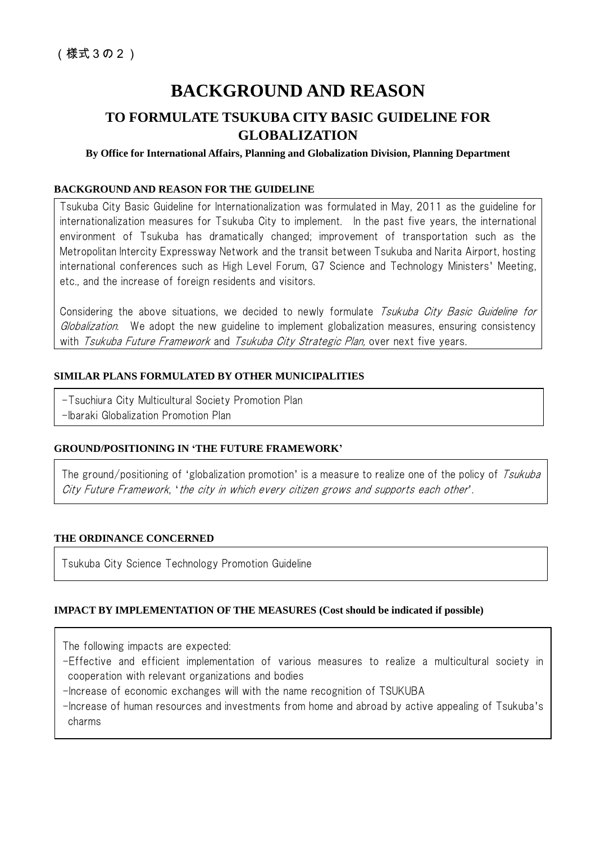# **BACKGROUND AND REASON**

## **TO FORMULATE TSUKUBA CITY BASIC GUIDELINE FOR GLOBALIZATION**

## **By Office for International Affairs, Planning and Globalization Division, Planning Department**

### **BACKGROUND AND REASON FOR THE GUIDELINE**

Tsukuba City Basic Guideline for Internationalization was formulated in May, 2011 as the guideline for internationalization measures for Tsukuba City to implement. In the past five years, the international environment of Tsukuba has dramatically changed; improvement of transportation such as the Metropolitan Intercity Expressway Network and the transit between Tsukuba and Narita Airport, hosting international conferences such as High Level Forum, G7 Science and Technology Ministers' Meeting, etc., and the increase of foreign residents and visitors.

Considering the above situations, we decided to newly formulate *Tsukuba City Basic Guideline for* Globalization. We adopt the new guideline to implement globalization measures, ensuring consistency with *Tsukuba Future Framework* and *Tsukuba City Strategic Plan*, over next five years.

## **SIMILAR PLANS FORMULATED BY OTHER MUNICIPALITIES**

-Tsuchiura City Multicultural Society Promotion Plan

-Ibaraki Globalization Promotion Plan

## **GROUND/POSITIONING IN 'THE FUTURE FRAMEWORK'**

The ground/positioning of 'globalization promotion' is a measure to realize one of the policy of Tsukuba City Future Framework, 'the city in which every citizen grows and supports each other*'*.

#### **THE ORDINANCE CONCERNED**

Tsukuba City Science Technology Promotion Guideline

## **IMPACT BY IMPLEMENTATION OF THE MEASURES (Cost should be indicated if possible)**

The following impacts are expected:

- -Effective and efficient implementation of various measures to realize a multicultural society in cooperation with relevant organizations and bodies
- -Increase of economic exchanges will with the name recognition of TSUKUBA
- -Increase of human resources and investments from home and abroad by active appealing of Tsukuba's charms